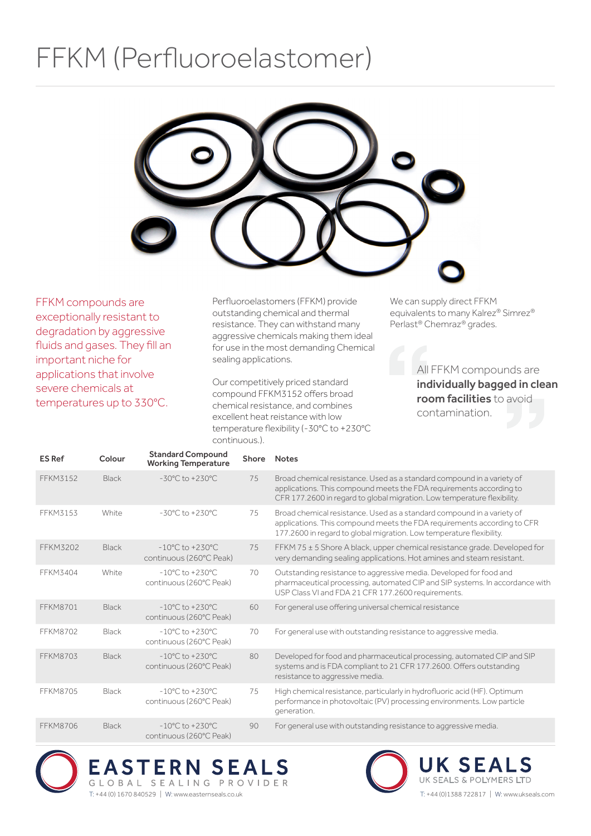## FFKM (Perfluoroelastomer)



FFKM compounds are exceptionally resistant to degradation by aggressive fluids and gases. They fill an important niche for applications that involve severe chemicals at temperatures up to 330°C.

Perfluoroelastomers (FFKM) provide outstanding chemical and thermal resistance. They can withstand many aggressive chemicals making them ideal for use in the most demanding Chemical sealing applications.

Our competitively priced standard compound FFKM3152 offers broad chemical resistance, and combines excellent heat reistance with low temperature flexibility (-30°C to +230°C continuous.).

We can supply direct FFKM equivalents to many Kalrez® Simrez® Perlast® Chemraz® grades.

> All FFKM compounds are individually bagged in clean room facilities to avoid contamination.

| <b>ES Ref</b>   | Colour       | <b>Standard Compound</b><br><b>Working Temperature</b>         | <b>Shore</b> | <b>Notes</b>                                                                                                                                                                                                              |
|-----------------|--------------|----------------------------------------------------------------|--------------|---------------------------------------------------------------------------------------------------------------------------------------------------------------------------------------------------------------------------|
| FFKM3152        | <b>Black</b> | $-30^{\circ}$ C to $+230^{\circ}$ C                            | 75           | Broad chemical resistance. Used as a standard compound in a variety of<br>applications. This compound meets the FDA requirements according to<br>CFR 177.2600 in regard to global migration. Low temperature flexibility. |
| FFKM3153        | White        | $-30^{\circ}$ C to $+230^{\circ}$ C                            | 75           | Broad chemical resistance. Used as a standard compound in a variety of<br>applications. This compound meets the FDA requirements according to CFR<br>177.2600 in regard to global migration. Low temperature flexibility. |
| <b>FFKM3202</b> | <b>Black</b> | $-10^{\circ}$ C to $+230^{\circ}$ C<br>continuous (260°C Peak) | 75           | FFKM 75 ± 5 Shore A black, upper chemical resistance grade. Developed for<br>very demanding sealing applications. Hot amines and steam resistant.                                                                         |
| FFKM3404        | White        | $-10^{\circ}$ C to $+230^{\circ}$ C<br>continuous (260°C Peak) | 70           | Outstanding resistance to aggressive media. Developed for food and<br>pharmaceutical processing, automated CIP and SIP systems. In accordance with<br>USP Class VI and FDA 21 CFR 177.2600 requirements.                  |
| <b>FFKM8701</b> | <b>Black</b> | $-10^{\circ}$ C to $+230^{\circ}$ C<br>continuous (260°C Peak) | 60           | For general use offering universal chemical resistance                                                                                                                                                                    |
| <b>FFKM8702</b> | <b>Black</b> | $-10^{\circ}$ C to $+230^{\circ}$ C<br>continuous (260°C Peak) | 70           | For general use with outstanding resistance to aggressive media.                                                                                                                                                          |
| <b>FFKM8703</b> | <b>Black</b> | $-10^{\circ}$ C to $+230^{\circ}$ C<br>continuous (260°C Peak) | 80           | Developed for food and pharmaceutical processing, automated CIP and SIP<br>systems and is FDA compliant to 21 CFR 177.2600. Offers outstanding<br>resistance to aggressive media.                                         |
| <b>FFKM8705</b> | <b>Black</b> | $-10^{\circ}$ C to $+230^{\circ}$ C<br>continuous (260°C Peak) | 75           | High chemical resistance, particularly in hydrofluoric acid (HF). Optimum<br>performance in photovoltaic (PV) processing environments. Low particle<br>generation.                                                        |
| <b>FFKM8706</b> | <b>Black</b> | $-10^{\circ}$ C to $+230^{\circ}$ C<br>continuous (260°C Peak) | 90           | For general use with outstanding resistance to aggressive media.                                                                                                                                                          |



GLOBAL SEALING PROVIDER